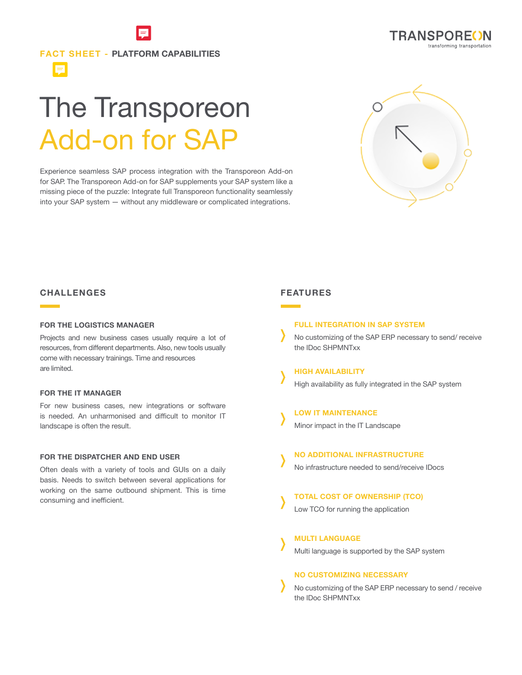# **FACT SHEET - PLATFORM CAPABILITIES**

# The Transporeon Add-on for SAP

Experience seamless SAP process integration with the Transporeon Add-on for SAP. The Transporeon Add-on for SAP supplements your SAP system like a missing piece of the puzzle: Integrate full Transporeon functionality seamlessly into your SAP system — without any middleware or complicated integrations.



**TRANSPOREON** 

transforming transportation

# **CHALLENGES**

E

#### **FOR THE LOGISTICS MANAGER**

Projects and new business cases usually require a lot of resources, from different departments. Also, new tools usually come with necessary trainings. Time and resources are limited.

### **FOR THE IT MANAGER**

For new business cases, new integrations or software is needed. An unharmonised and difficult to monitor IT landscape is often the result.

#### **FOR THE DISPATCHER AND END USER**

Often deals with a variety of tools and GUIs on a daily basis. Needs to switch between several applications for working on the same outbound shipment. This is time consuming and inefficient.

# **FEATURES**

#### **FULL INTEGRATION IN SAP SYSTEM**

No customizing of the SAP ERP necessary to send/ receive the IDoc SHPMNTxx

**HIGH AVAILABILITY** High availability as fully integrated in the SAP system

# **LOW IT MAINTENANCE**

Minor impact in the IT Landscape

#### **NO ADDITIONAL INFRASTRUCTURE**

No infrastructure needed to send/receive IDocs

### **TOTAL COST OF OWNERSHIP (TCO)**

Low TCO for running the application

# **MULTI LANGUAGE**

Multi language is supported by the SAP system

#### **NO CUSTOMIZING NECESSARY**

No customizing of the SAP ERP necessary to send / receive the IDoc SHPMNTxx